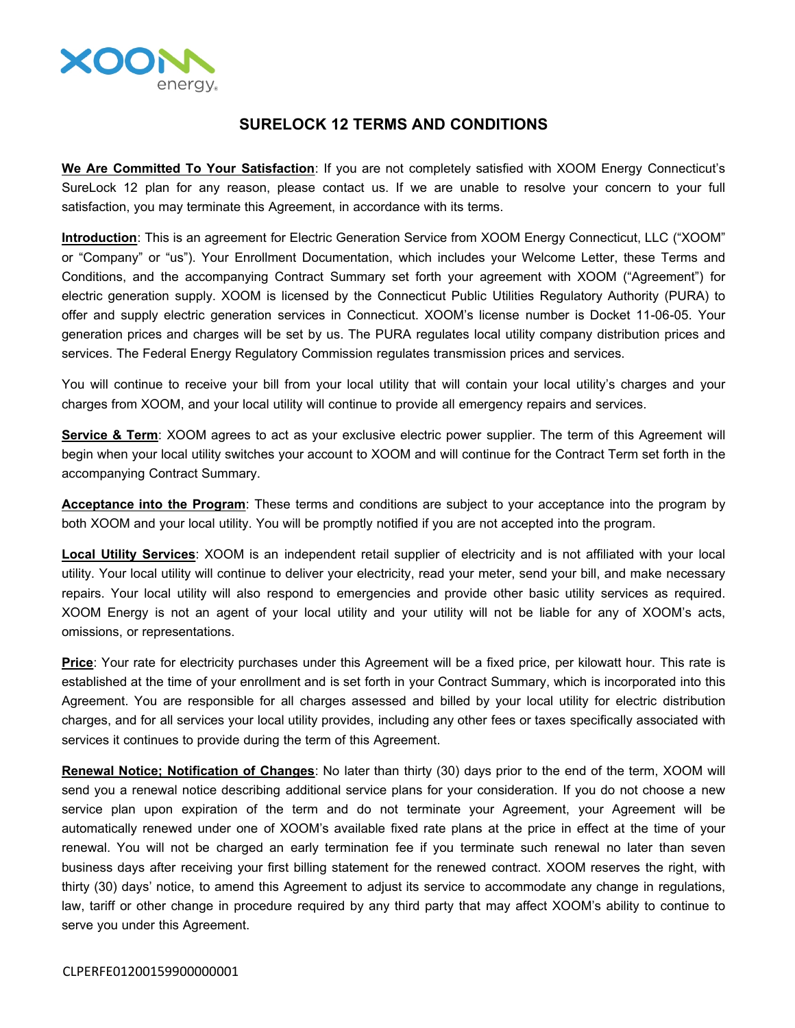

## **SURELOCK 12 TERMS AND CONDITIONS**

**We Are Committed To Your Satisfaction**: If you are not completely satisfied with XOOM Energy Connecticut's SureLock 12 plan for any reason, please contact us. If we are unable to resolve your concern to your full satisfaction, you may terminate this Agreement, in accordance with its terms.

**Introduction**: This is an agreement for Electric Generation Service from XOOM Energy Connecticut, LLC ("XOOM" or "Company" or "us"). Your Enrollment Documentation, which includes your Welcome Letter, these Terms and Conditions, and the accompanying Contract Summary set forth your agreement with XOOM ("Agreement") for electric generation supply. XOOM is licensed by the Connecticut Public Utilities Regulatory Authority (PURA) to offer and supply electric generation services in Connecticut. XOOM's license number is Docket 11-06-05. Your generation prices and charges will be set by us. The PURA regulates local utility company distribution prices and services. The Federal Energy Regulatory Commission regulates transmission prices and services.

You will continue to receive your bill from your local utility that will contain your local utility's charges and your charges from XOOM, and your local utility will continue to provide all emergency repairs and services.

**Service & Term**: XOOM agrees to act as your exclusive electric power supplier. The term of this Agreement will begin when your local utility switches your account to XOOM and will continue for the Contract Term set forth in the accompanying Contract Summary.

**Acceptance into the Program**: These terms and conditions are subject to your acceptance into the program by both XOOM and your local utility. You will be promptly notified if you are not accepted into the program.

**Local Utility Services**: XOOM is an independent retail supplier of electricity and is not affiliated with your local utility. Your local utility will continue to deliver your electricity, read your meter, send your bill, and make necessary repairs. Your local utility will also respond to emergencies and provide other basic utility services as required. XOOM Energy is not an agent of your local utility and your utility will not be liable for any of XOOM's acts, omissions, or representations.

**Price**: Your rate for electricity purchases under this Agreement will be a fixed price, per kilowatt hour. This rate is established at the time of your enrollment and is set forth in your Contract Summary, which is incorporated into this Agreement. You are responsible for all charges assessed and billed by your local utility for electric distribution charges, and for all services your local utility provides, including any other fees or taxes specifically associated with services it continues to provide during the term of this Agreement.

**Renewal Notice; Notification of Changes**: No later than thirty (30) days prior to the end of the term, XOOM will send you a renewal notice describing additional service plans for your consideration. If you do not choose a new service plan upon expiration of the term and do not terminate your Agreement, your Agreement will be automatically renewed under one of XOOM's available fixed rate plans at the price in effect at the time of your renewal. You will not be charged an early termination fee if you terminate such renewal no later than seven business days after receiving your first billing statement for the renewed contract. XOOM reserves the right, with thirty (30) days' notice, to amend this Agreement to adjust its service to accommodate any change in regulations, law, tariff or other change in procedure required by any third party that may affect XOOM's ability to continue to serve you under this Agreement.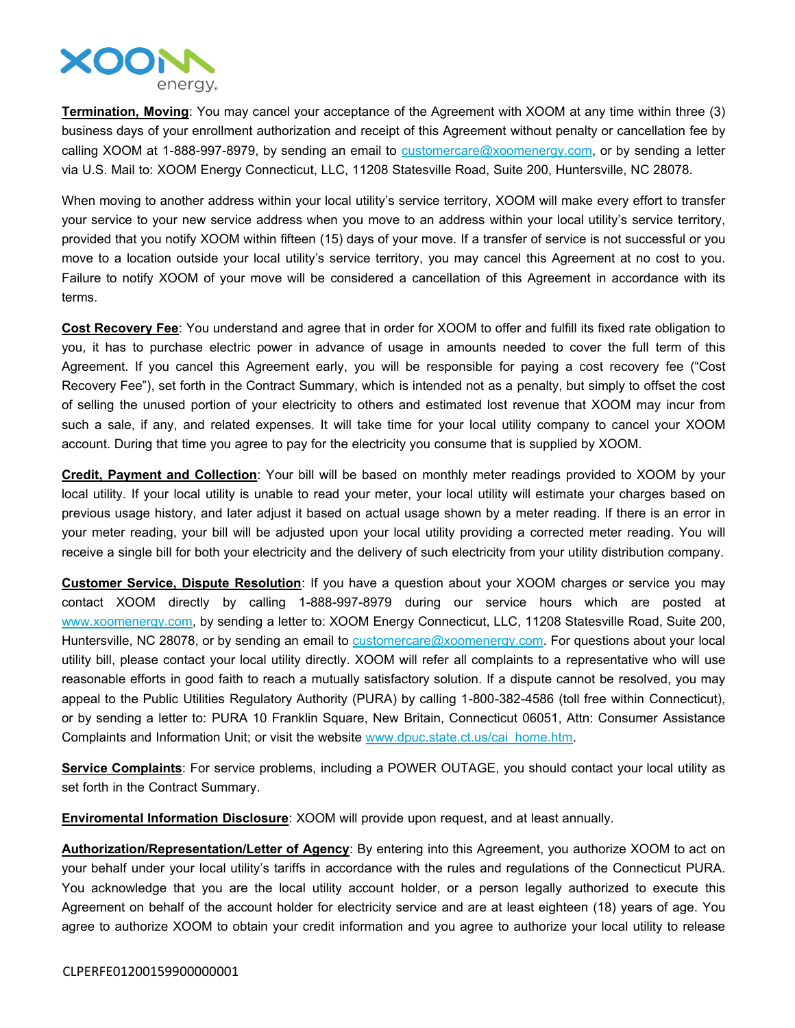

**Termination, Moving**: You may cancel your acceptance of the Agreement with XOOM at any time within three (3) business days of your enrollment authorization and receipt of this Agreement without penalty or cancellation fee by calling XOOM at 1-888-997-8979, by sending an email to  $\frac{customer}{c}$  customercare  $@x$  oomenergy.com, or by sending a letter via U.S. Mail to: XOOM Energy Connecticut, LLC, 11208 Statesville Road, Suite 200, Huntersville, NC 28078.

When moving to another address within your local utility's service territory, XOOM will make every effort to transfer your service to your new service address when you move to an address within your local utility's service territory, provided that you notify XOOM within fifteen (15) days of your move. If a transfer of service is not successful or you move to a location outside your local utility's service territory, you may cancel this Agreement at no cost to you. Failure to notify XOOM of your move will be considered a cancellation of this Agreement in accordance with its terms.

**Cost Recovery Fee**: You understand and agree that in order for XOOM to offer and fulfill its fixed rate obligation to you, it has to purchase electric power in advance of usage in amounts needed to cover the full term of this Agreement. If you cancel this Agreement early, you will be responsible for paying a cost recovery fee ("Cost Recovery Fee"), set forth in the Contract Summary, which is intended not as a penalty, but simply to offset the cost of selling the unused portion of your electricity to others and estimated lost revenue that XOOM may incur from such a sale, if any, and related expenses. It will take time for your local utility company to cancel your XOOM account. During that time you agree to pay for the electricity you consume that is supplied by XOOM.

**Credit, Payment and Collection**: Your bill will be based on monthly meter readings provided to XOOM by your local utility. If your local utility is unable to read your meter, your local utility will estimate your charges based on previous usage history, and later adjust it based on actual usage shown by a meter reading. If there is an error in your meter reading, your bill will be adjusted upon your local utility providing a corrected meter reading. You will receive a single bill for both your electricity and the delivery of such electricity from your utility distribution company.

**Customer Service, Dispute Resolution**: If you have a question about your XOOM charges or service you may contact XOOM directly by calling 1-888-997-8979 during our service hours which are posted at [www.xoomenergy.com](http://www.xoomenergy.com), by sending a letter to: XOOM Energy Connecticut, LLC, 11208 Statesville Road, Suite 200, Huntersville, NC 28078, or by sending an email to [customercare@xoomenergy.com.](mailto:customercare@xoomenergy.com) For questions about your local utility bill, please contact your local utility directly. XOOM will refer all complaints to a representative who will use reasonable efforts in good faith to reach a mutually satisfactory solution. If a dispute cannot be resolved, you may appeal to the Public Utilities Regulatory Authority (PURA) by calling 1-800-382-4586 (toll free within Connecticut), or by sending a letter to: PURA 10 Franklin Square, New Britain, Connecticut 06051, Attn: Consumer Assistance Complaints and Information Unit; or visit the website [www.dpuc.state.ct.us/cai\\_home.htm](http://www.dpuc.state.ct.us/cai_home.htm).

**Service Complaints**: For service problems, including a POWER OUTAGE, you should contact your local utility as set forth in the Contract Summary.

**Enviromental Information Disclosure**: XOOM will provide upon request, and at least annually.

**Authorization/Representation/Letter of Agency**: By entering into this Agreement, you authorize XOOM to act on your behalf under your local utility's tariffs in accordance with the rules and regulations of the Connecticut PURA. You acknowledge that you are the local utility account holder, or a person legally authorized to execute this Agreement on behalf of the account holder for electricity service and are at least eighteen (18) years of age. You agree to authorize XOOM to obtain your credit information and you agree to authorize your local utility to release